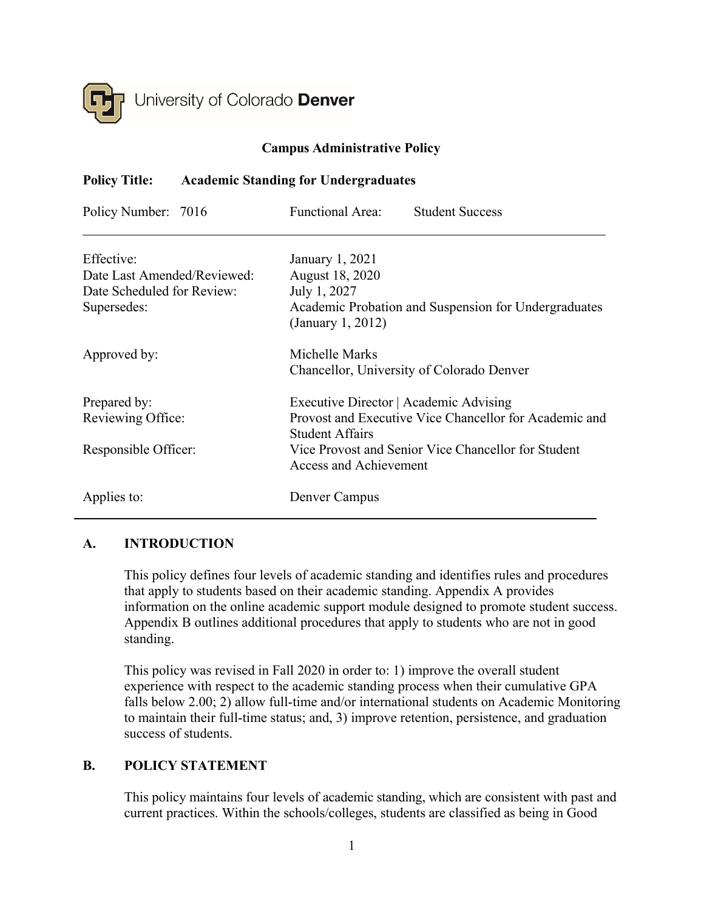

# **Campus Administrative Policy**

## **Policy Title: Academic Standing for Undergraduates**

| Policy Number: 7016         | <b>Functional Area:</b>                                                   | <b>Student Success</b>                                 |
|-----------------------------|---------------------------------------------------------------------------|--------------------------------------------------------|
| Effective:                  | January 1, 2021                                                           |                                                        |
| Date Last Amended/Reviewed: | August 18, 2020                                                           |                                                        |
| Date Scheduled for Review:  | July 1, 2027                                                              |                                                        |
| Supersedes:                 | Academic Probation and Suspension for Undergraduates<br>(January 1, 2012) |                                                        |
| Approved by:                | Michelle Marks                                                            |                                                        |
|                             |                                                                           | Chancellor, University of Colorado Denver              |
| Prepared by:                | Executive Director   Academic Advising                                    |                                                        |
| Reviewing Office:           |                                                                           | Provost and Executive Vice Chancellor for Academic and |
|                             | <b>Student Affairs</b>                                                    |                                                        |
| Responsible Officer:        | <b>Access and Achievement</b>                                             | Vice Provost and Senior Vice Chancellor for Student    |
| Applies to:                 | Denver Campus                                                             |                                                        |

## **A. INTRODUCTION**

This policy defines four levels of academic standing and identifies rules and procedures that apply to students based on their academic standing. Appendix A provides information on the online academic support module designed to promote student success. Appendix B outlines additional procedures that apply to students who are not in good standing.

This policy was revised in Fall 2020 in order to: 1) improve the overall student experience with respect to the academic standing process when their cumulative GPA falls below 2.00; 2) allow full-time and/or international students on Academic Monitoring to maintain their full-time status; and, 3) improve retention, persistence, and graduation success of students.

## **B. POLICY STATEMENT**

This policy maintains four levels of academic standing, which are consistent with past and current practices. Within the schools/colleges, students are classified as being in Good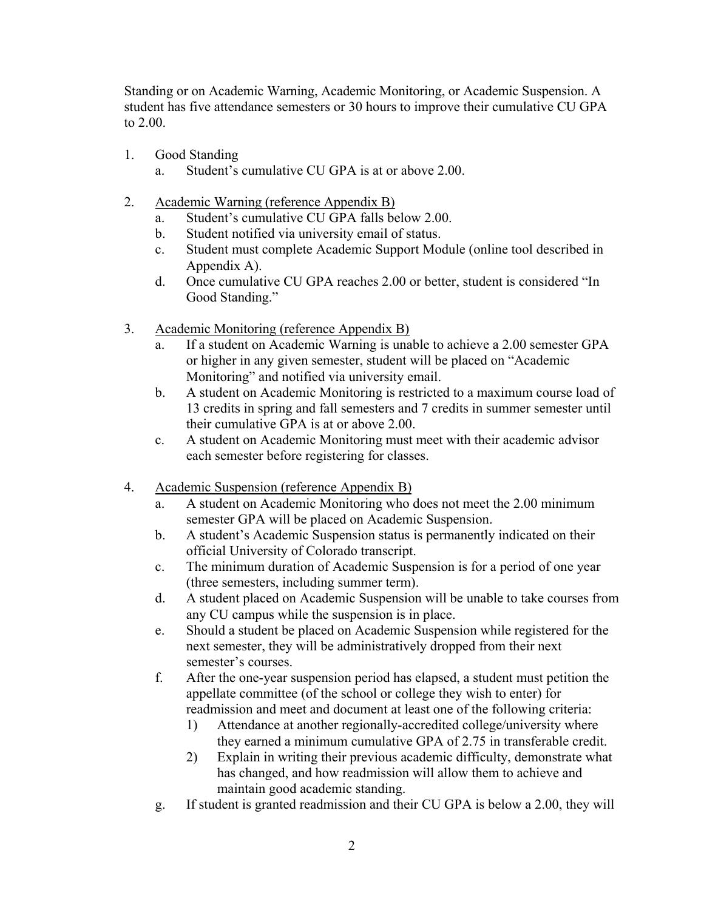Standing or on Academic Warning, Academic Monitoring, or Academic Suspension. A student has five attendance semesters or 30 hours to improve their cumulative CU GPA to 2.00.

- 1. Good Standing
	- a. Student's cumulative CU GPA is at or above 2.00.
- 2. Academic Warning (reference Appendix B)
	- a. Student's cumulative CU GPA falls below 2.00.
	- b. Student notified via university email of status.
	- c. Student must complete Academic Support Module (online tool described in Appendix A).
	- d. Once cumulative CU GPA reaches 2.00 or better, student is considered "In Good Standing."
- 3. Academic Monitoring (reference Appendix B)
	- a. If a student on Academic Warning is unable to achieve a 2.00 semester GPA or higher in any given semester, student will be placed on "Academic Monitoring" and notified via university email.
	- b. A student on Academic Monitoring is restricted to a maximum course load of 13 credits in spring and fall semesters and 7 credits in summer semester until their cumulative GPA is at or above 2.00.
	- c. A student on Academic Monitoring must meet with their academic advisor each semester before registering for classes.
- 4. Academic Suspension (reference Appendix B)
	- a. A student on Academic Monitoring who does not meet the 2.00 minimum semester GPA will be placed on Academic Suspension.
	- b. A student's Academic Suspension status is permanently indicated on their official University of Colorado transcript.
	- c. The minimum duration of Academic Suspension is for a period of one year (three semesters, including summer term).
	- d. A student placed on Academic Suspension will be unable to take courses from any CU campus while the suspension is in place.
	- e. Should a student be placed on Academic Suspension while registered for the next semester, they will be administratively dropped from their next semester's courses.
	- f. After the one-year suspension period has elapsed, a student must petition the appellate committee (of the school or college they wish to enter) for readmission and meet and document at least one of the following criteria:
		- 1) Attendance at another regionally-accredited college/university where they earned a minimum cumulative GPA of 2.75 in transferable credit.
		- 2) Explain in writing their previous academic difficulty, demonstrate what has changed, and how readmission will allow them to achieve and maintain good academic standing.
	- g. If student is granted readmission and their CU GPA is below a 2.00, they will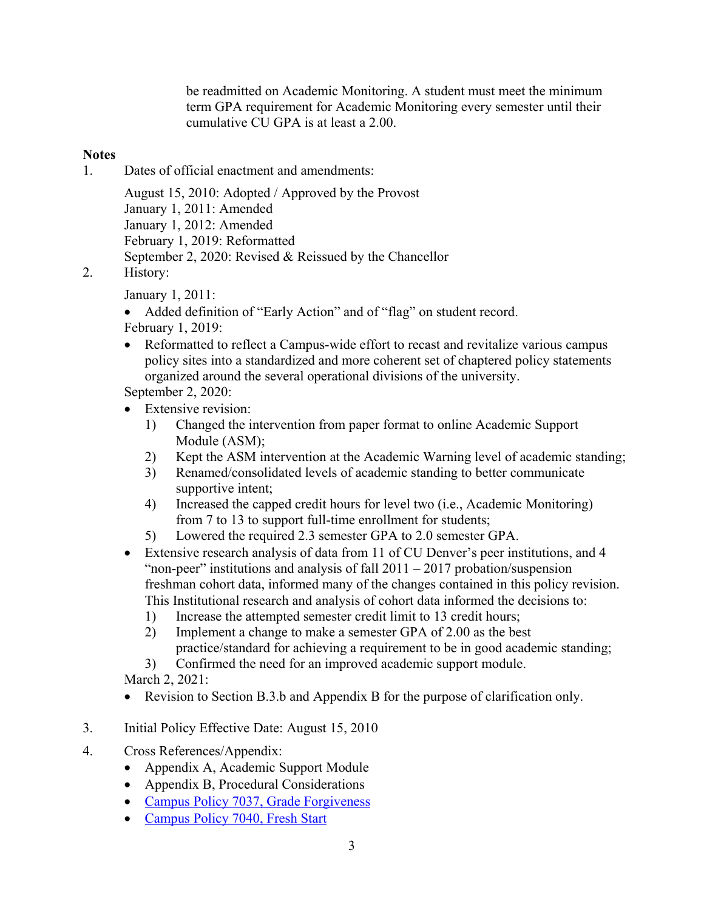be readmitted on Academic Monitoring. A student must meet the minimum term GPA requirement for Academic Monitoring every semester until their cumulative CU GPA is at least a 2.00.

# **Notes**

1. Dates of official enactment and amendments:

August 15, 2010: Adopted / Approved by the Provost January 1, 2011: Amended January 1, 2012: Amended February 1, 2019: Reformatted September 2, 2020: Revised & Reissued by the Chancellor

2. History:

January 1, 2011:

- Added definition of "Early Action" and of "flag" on student record. February 1, 2019:
- Reformatted to reflect a Campus-wide effort to recast and revitalize various campus policy sites into a standardized and more coherent set of chaptered policy statements organized around the several operational divisions of the university.

September 2, 2020:

- Extensive revision:
	- 1) Changed the intervention from paper format to online Academic Support Module (ASM);
	- 2) Kept the ASM intervention at the Academic Warning level of academic standing;
	- 3) Renamed/consolidated levels of academic standing to better communicate supportive intent;
	- 4) Increased the capped credit hours for level two (i.e., Academic Monitoring) from 7 to 13 to support full-time enrollment for students;
	- 5) Lowered the required 2.3 semester GPA to 2.0 semester GPA.
- Extensive research analysis of data from 11 of CU Denver's peer institutions, and 4 "non-peer" institutions and analysis of fall  $2011 - 2017$  probation/suspension freshman cohort data, informed many of the changes contained in this policy revision. This Institutional research and analysis of cohort data informed the decisions to:
	- 1) Increase the attempted semester credit limit to 13 credit hours;
	- 2) Implement a change to make a semester GPA of 2.00 as the best practice/standard for achieving a requirement to be in good academic standing;
	- 3) Confirmed the need for an improved academic support module.

March 2, 2021:

- Revision to Section B.3.b and Appendix B for the purpose of clarification only.
- 3. Initial Policy Effective Date: August 15, 2010
- 4. Cross References/Appendix:
	- Appendix A, Academic Support Module
	- Appendix B, Procedural Considerations
	- [Campus Policy 7037, Grade Forgiveness](https://www.ucdenver.edu/faculty_staff/employees/policies/Policies%20Library/7XXX%20Student%20Affairs/7037%20-%20Grade%20Forgiveness.pdf)
	- [Campus Policy 7040, Fresh Start](https://www.ucdenver.edu/faculty_staff/employees/policies/Policies%20Library/7XXX%20Student%20Affairs/7040%20-%20Fresh%20Start.pdf)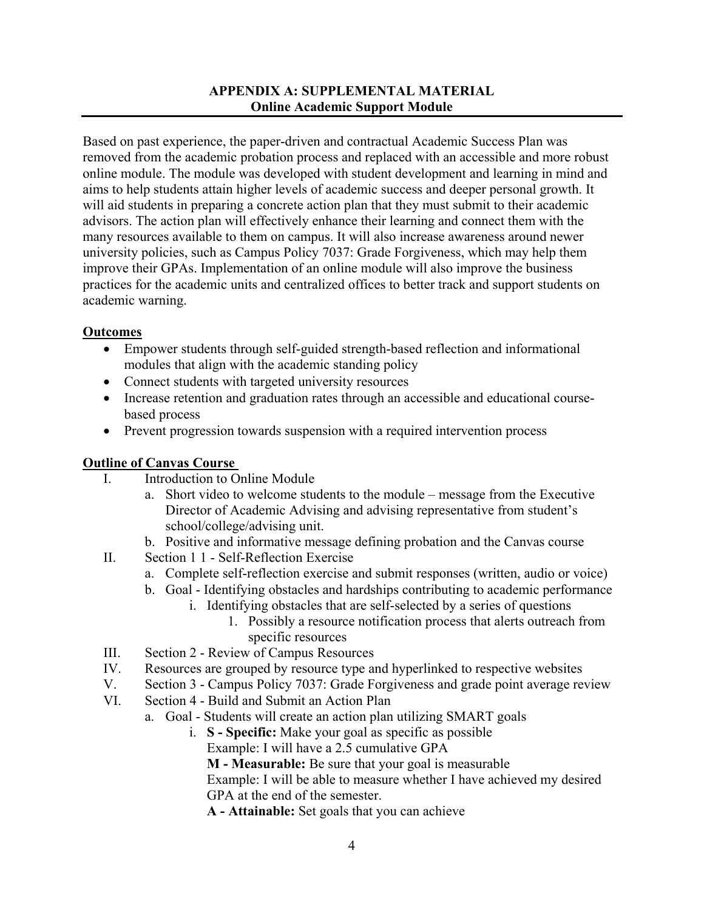# **APPENDIX A: SUPPLEMENTAL MATERIAL Online Academic Support Module**

Based on past experience, the paper-driven and contractual Academic Success Plan was removed from the academic probation process and replaced with an accessible and more robust online module. The module was developed with student development and learning in mind and aims to help students attain higher levels of academic success and deeper personal growth. It will aid students in preparing a concrete action plan that they must submit to their academic advisors. The action plan will effectively enhance their learning and connect them with the many resources available to them on campus. It will also increase awareness around newer university policies, such as Campus Policy 7037: Grade Forgiveness, which may help them improve their GPAs. Implementation of an online module will also improve the business practices for the academic units and centralized offices to better track and support students on academic warning.

## **Outcomes**

- Empower students through self-guided strength-based reflection and informational modules that align with the academic standing policy
- Connect students with targeted university resources
- Increase retention and graduation rates through an accessible and educational coursebased process
- Prevent progression towards suspension with a required intervention process

## **Outline of Canvas Course**

- I. Introduction to Online Module
	- a. Short video to welcome students to the module message from the Executive Director of Academic Advising and advising representative from student's school/college/advising unit.
	- b. Positive and informative message defining probation and the Canvas course
- II. Section 1 1 Self-Reflection Exercise
	- a. Complete self-reflection exercise and submit responses (written, audio or voice)
	- b. Goal Identifying obstacles and hardships contributing to academic performance
		- i. Identifying obstacles that are self-selected by a series of questions 1. Possibly a resource notification process that alerts outreach from
			- specific resources
- III. Section 2 Review of Campus Resources
- IV. Resources are grouped by resource type and hyperlinked to respective websites
- V. Section 3 Campus Policy 7037: Grade Forgiveness and grade point average review
- VI. Section 4 Build and Submit an Action Plan
	- a. Goal Students will create an action plan utilizing SMART goals
		- i. **S - Specific:** Make your goal as specific as possible Example: I will have a 2.5 cumulative GPA

**M - Measurable:** Be sure that your goal is measurable

Example: I will be able to measure whether I have achieved my desired GPA at the end of the semester.

**A - Attainable:** Set goals that you can achieve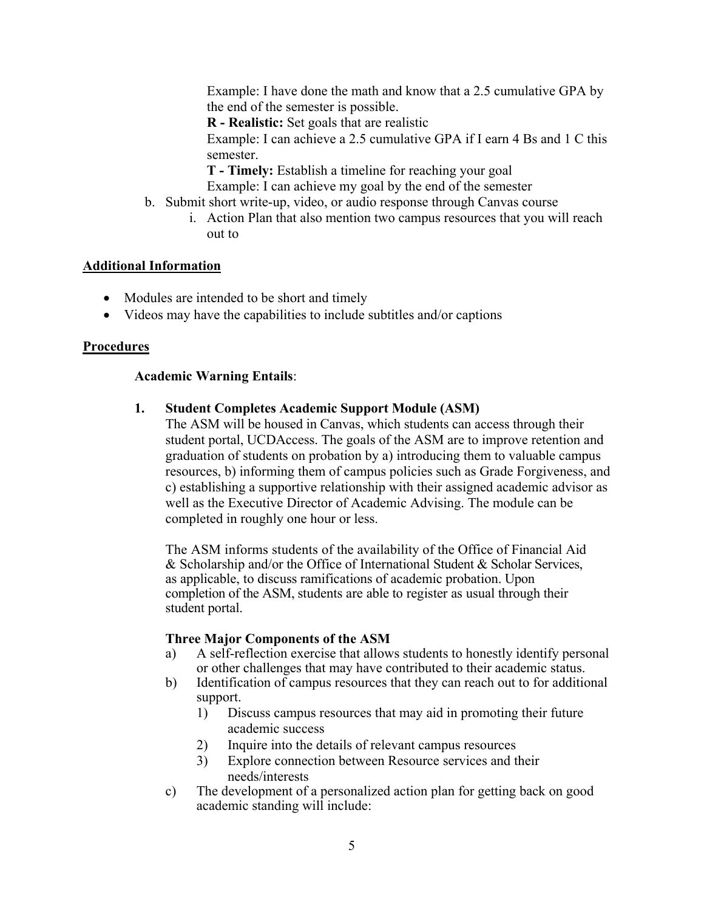Example: I have done the math and know that a 2.5 cumulative GPA by the end of the semester is possible.

**R - Realistic:** Set goals that are realistic

Example: I can achieve a 2.5 cumulative GPA if I earn 4 Bs and 1 C this semester.

**T - Timely:** Establish a timeline for reaching your goal

Example: I can achieve my goal by the end of the semester

- b. Submit short write-up, video, or audio response through Canvas course
	- i. Action Plan that also mention two campus resources that you will reach out to

## **Additional Information**

- Modules are intended to be short and timely
- Videos may have the capabilities to include subtitles and/or captions

### **Procedures**

### **Academic Warning Entails**:

## **1. Student Completes Academic Support Module (ASM)**

The ASM will be housed in Canvas, which students can access through their student portal, UCDAccess. The goals of the ASM are to improve retention and graduation of students on probation by a) introducing them to valuable campus resources, b) informing them of campus policies such as Grade Forgiveness, and c) establishing a supportive relationship with their assigned academic advisor as well as the Executive Director of Academic Advising. The module can be completed in roughly one hour or less.

The ASM informs students of the availability of the Office of Financial Aid & Scholarship and/or the Office of International Student & Scholar Services, as applicable, to discuss ramifications of academic probation. Upon completion of the ASM, students are able to register as usual through their student portal.

#### **Three Major Components of the ASM**

- a) A self-reflection exercise that allows students to honestly identify personal or other challenges that may have contributed to their academic status.
- b) Identification of campus resources that they can reach out to for additional support.
	- 1) Discuss campus resources that may aid in promoting their future academic success
	- 2) Inquire into the details of relevant campus resources
	- 3) Explore connection between Resource services and their needs/interests
- c) The development of a personalized action plan for getting back on good academic standing will include: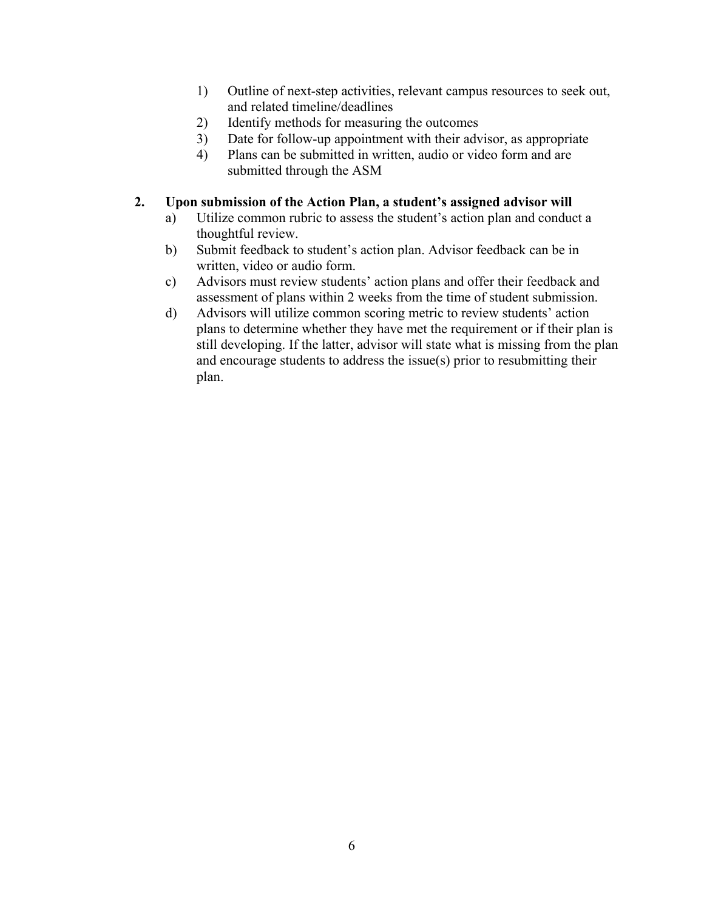- 1) Outline of next-step activities, relevant campus resources to seek out, and related timeline/deadlines
- 2) Identify methods for measuring the outcomes
- 3) Date for follow-up appointment with their advisor, as appropriate
- 4) Plans can be submitted in written, audio or video form and are submitted through the ASM
- **2. Upon submission of the Action Plan, a student's assigned advisor will**
	- a) Utilize common rubric to assess the student's action plan and conduct a thoughtful review.
	- b) Submit feedback to student's action plan. Advisor feedback can be in written, video or audio form.
	- c) Advisors must review students' action plans and offer their feedback and assessment of plans within 2 weeks from the time of student submission.
	- d) Advisors will utilize common scoring metric to review students' action plans to determine whether they have met the requirement or if their plan is still developing. If the latter, advisor will state what is missing from the plan and encourage students to address the issue(s) prior to resubmitting their plan.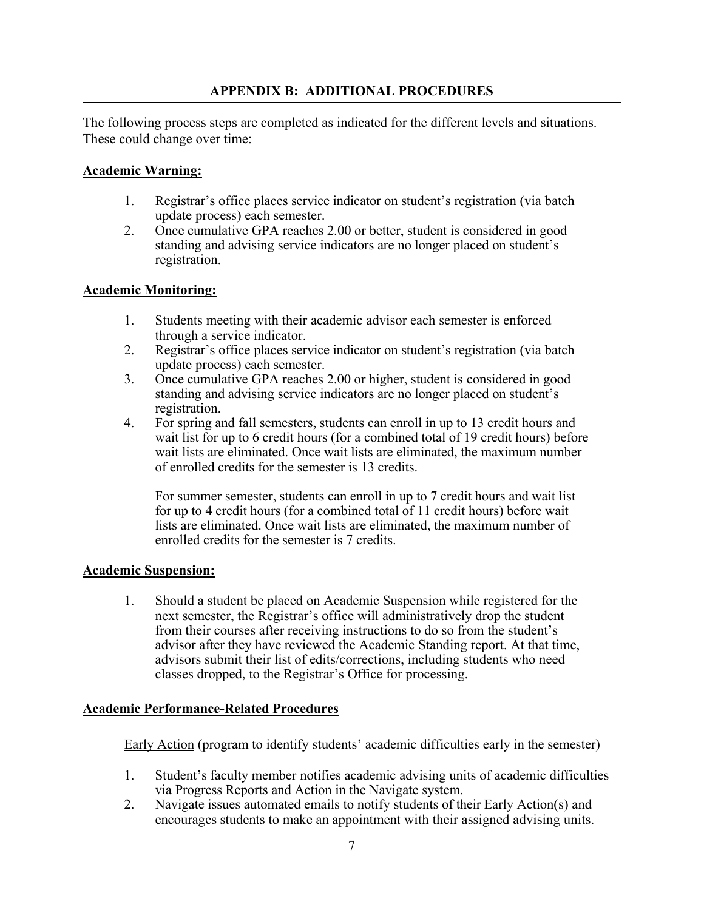# **APPENDIX B: ADDITIONAL PROCEDURES**

The following process steps are completed as indicated for the different levels and situations. These could change over time:

### **Academic Warning:**

- 1. Registrar's office places service indicator on student's registration (via batch update process) each semester.
- 2. Once cumulative GPA reaches 2.00 or better, student is considered in good standing and advising service indicators are no longer placed on student's registration.

### **Academic Monitoring:**

- 1. Students meeting with their academic advisor each semester is enforced through a service indicator.
- 2. Registrar's office places service indicator on student's registration (via batch update process) each semester.
- 3. Once cumulative GPA reaches 2.00 or higher, student is considered in good standing and advising service indicators are no longer placed on student's registration.
- 4. For spring and fall semesters, students can enroll in up to 13 credit hours and wait list for up to 6 credit hours (for a combined total of 19 credit hours) before wait lists are eliminated. Once wait lists are eliminated, the maximum number of enrolled credits for the semester is 13 credits.

For summer semester, students can enroll in up to 7 credit hours and wait list for up to 4 credit hours (for a combined total of 11 credit hours) before wait lists are eliminated. Once wait lists are eliminated, the maximum number of enrolled credits for the semester is 7 credits.

#### **Academic Suspension:**

1. Should a student be placed on Academic Suspension while registered for the next semester, the Registrar's office will administratively drop the student from their courses after receiving instructions to do so from the student's advisor after they have reviewed the Academic Standing report. At that time, advisors submit their list of edits/corrections, including students who need classes dropped, to the Registrar's Office for processing.

#### **Academic Performance-Related Procedures**

Early Action (program to identify students' academic difficulties early in the semester)

- 1. Student's faculty member notifies academic advising units of academic difficulties via Progress Reports and Action in the Navigate system.
- 2. Navigate issues automated emails to notify students of their Early Action(s) and encourages students to make an appointment with their assigned advising units.